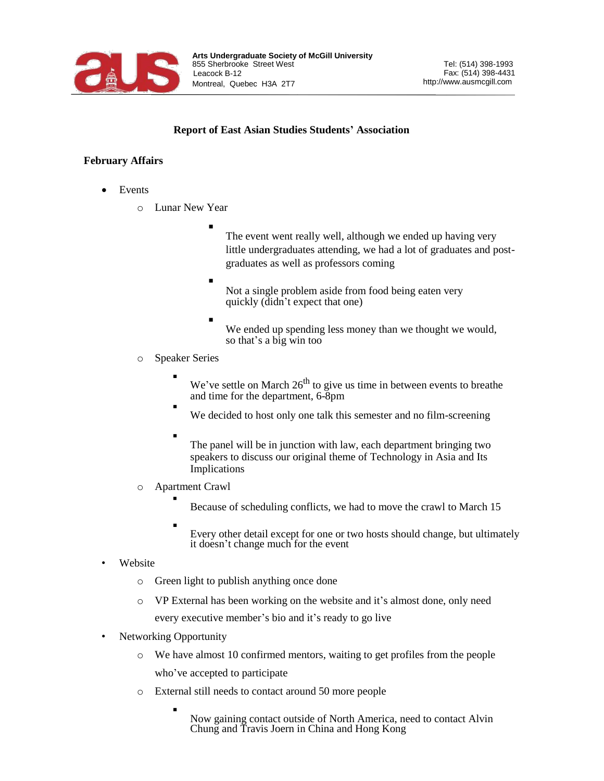

## **Report of East Asian Studies Students' Association**

## **February Affairs**

- **Events** 
	- o Lunar New Year
		- The event went really well, although we ended up having very little undergraduates attending, we had a lot of graduates and postgraduates as well as professors coming
		- Not a single problem aside from food being eaten very quickly (didn't expect that one)
		- We ended up spending less money than we thought we would, so that's a big win too
	- o Speaker Series

▪

- We've settle on March  $26<sup>th</sup>$  to give us time in between events to breathe and time for the department, 6-8pm
- We decided to host only one talk this semester and no film-screening
	- The panel will be in junction with law, each department bringing two speakers to discuss our original theme of Technology in Asia and Its Implications
- o Apartment Crawl ▪
	- Because of scheduling conflicts, we had to move the crawl to March 15
	- Every other detail except for one or two hosts should change, but ultimately it doesn't change much for the event
- **Website** 
	- o Green light to publish anything once done
	- o VP External has been working on the website and it's almost done, only need every executive member's bio and it's ready to go live
- Networking Opportunity

▪

- o We have almost 10 confirmed mentors, waiting to get profiles from the people who've accepted to participate
- o External still needs to contact around 50 more people
	- Now gaining contact outside of North America, need to contact Alvin Chung and Travis Joern in China and Hong Kong